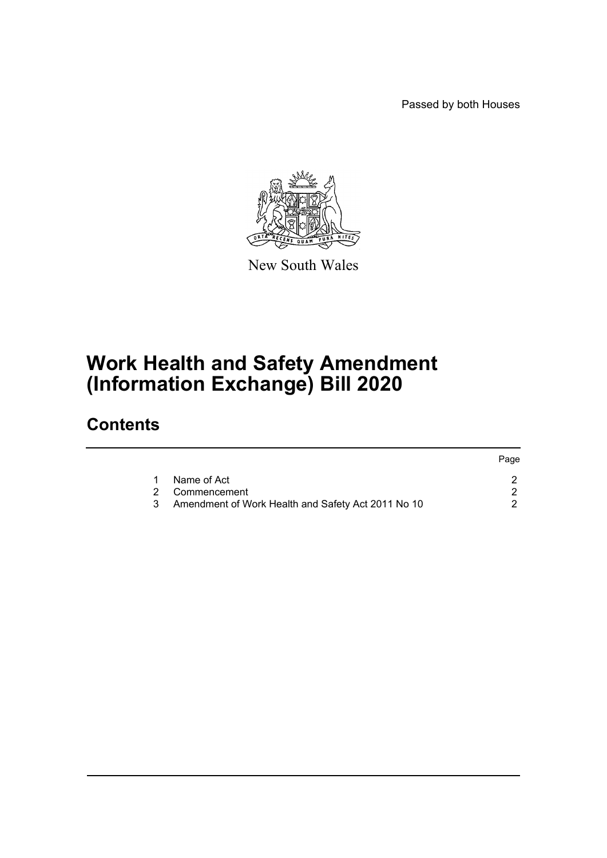Passed by both Houses



New South Wales

# **Work Health and Safety Amendment (Information Exchange) Bill 2020**

# **Contents**

|                                                      | Page |
|------------------------------------------------------|------|
| Name of Act                                          |      |
| 2 Commencement                                       |      |
| 3 Amendment of Work Health and Safety Act 2011 No 10 |      |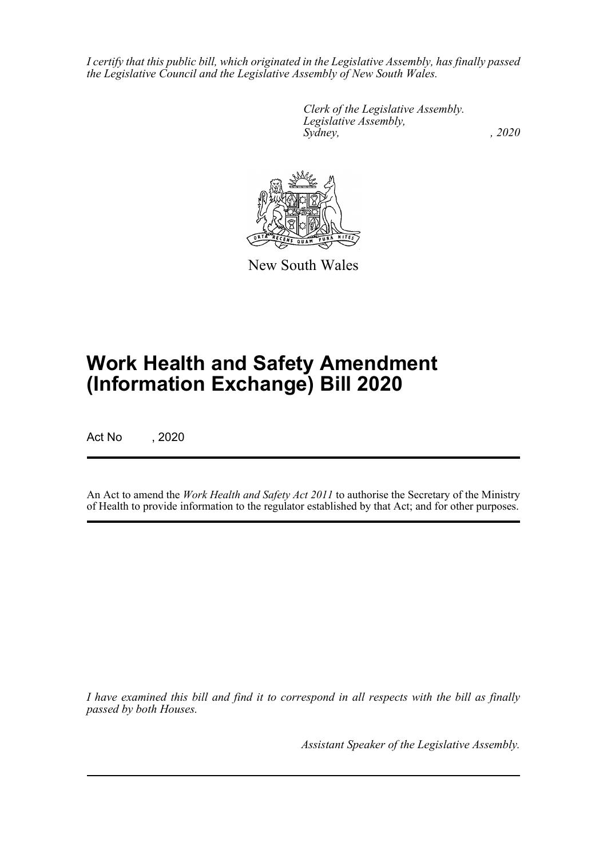*I certify that this public bill, which originated in the Legislative Assembly, has finally passed the Legislative Council and the Legislative Assembly of New South Wales.*

> *Clerk of the Legislative Assembly. Legislative Assembly, Sydney, , 2020*



New South Wales

# **Work Health and Safety Amendment (Information Exchange) Bill 2020**

Act No , 2020

An Act to amend the *Work Health and Safety Act 2011* to authorise the Secretary of the Ministry of Health to provide information to the regulator established by that Act; and for other purposes.

*I have examined this bill and find it to correspond in all respects with the bill as finally passed by both Houses.*

*Assistant Speaker of the Legislative Assembly.*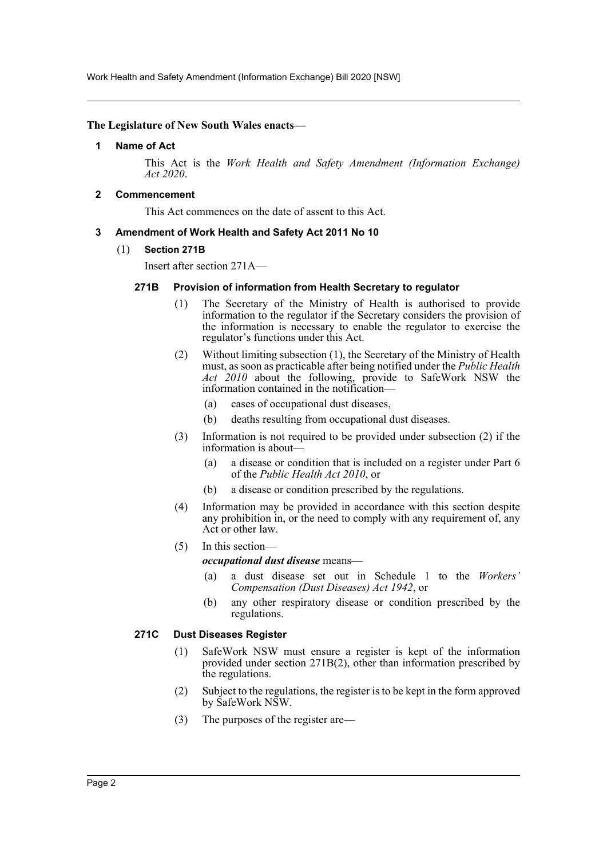Work Health and Safety Amendment (Information Exchange) Bill 2020 [NSW]

#### <span id="page-2-0"></span>**The Legislature of New South Wales enacts—**

#### **1 Name of Act**

This Act is the *Work Health and Safety Amendment (Information Exchange) Act 2020*.

# <span id="page-2-1"></span>**2 Commencement**

This Act commences on the date of assent to this Act.

### <span id="page-2-2"></span>**3 Amendment of Work Health and Safety Act 2011 No 10**

(1) **Section 271B**

Insert after section 271A—

### **271B Provision of information from Health Secretary to regulator**

- (1) The Secretary of the Ministry of Health is authorised to provide information to the regulator if the Secretary considers the provision of the information is necessary to enable the regulator to exercise the regulator's functions under this Act.
- (2) Without limiting subsection (1), the Secretary of the Ministry of Health must, as soon as practicable after being notified under the *Public Health Act 2010* about the following, provide to SafeWork NSW the information contained in the notification—
	- (a) cases of occupational dust diseases,
	- (b) deaths resulting from occupational dust diseases.
- (3) Information is not required to be provided under subsection (2) if the information is about—
	- (a) a disease or condition that is included on a register under Part 6 of the *Public Health Act 2010*, or
	- (b) a disease or condition prescribed by the regulations.
- (4) Information may be provided in accordance with this section despite any prohibition in, or the need to comply with any requirement of, any Act or other law.
- (5) In this section—

*occupational dust disease* means—

- (a) a dust disease set out in Schedule 1 to the *Workers' Compensation (Dust Diseases) Act 1942*, or
- (b) any other respiratory disease or condition prescribed by the regulations.

#### **271C Dust Diseases Register**

- (1) SafeWork NSW must ensure a register is kept of the information provided under section 271B(2), other than information prescribed by the regulations.
- (2) Subject to the regulations, the register is to be kept in the form approved by SafeWork NSW.
- (3) The purposes of the register are—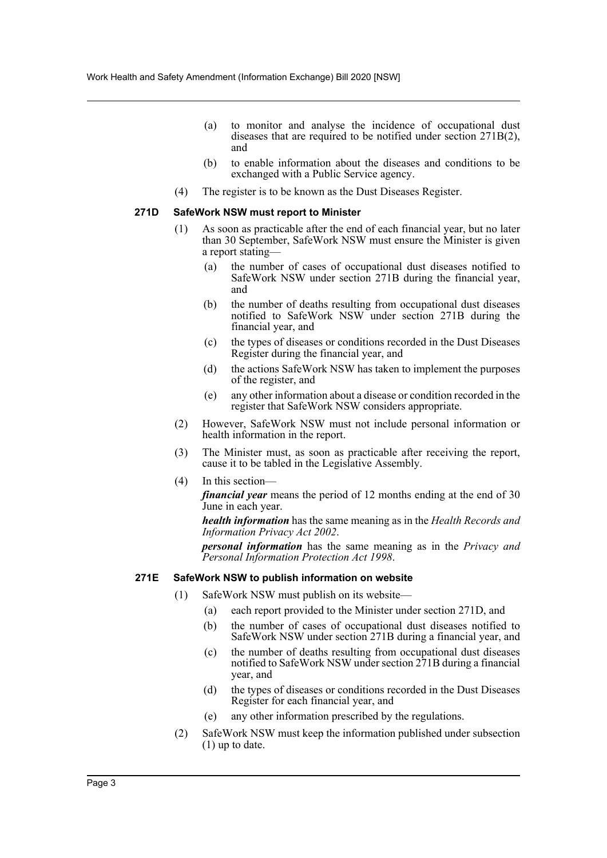- (a) to monitor and analyse the incidence of occupational dust diseases that are required to be notified under section 271B(2), and
- (b) to enable information about the diseases and conditions to be exchanged with a Public Service agency.
- (4) The register is to be known as the Dust Diseases Register.

#### **271D SafeWork NSW must report to Minister**

- (1) As soon as practicable after the end of each financial year, but no later than 30 September, SafeWork NSW must ensure the Minister is given a report stating—
	- (a) the number of cases of occupational dust diseases notified to SafeWork NSW under section 271B during the financial year, and
	- (b) the number of deaths resulting from occupational dust diseases notified to SafeWork NSW under section 271B during the financial year, and
	- (c) the types of diseases or conditions recorded in the Dust Diseases Register during the financial year, and
	- (d) the actions SafeWork NSW has taken to implement the purposes of the register, and
	- (e) any other information about a disease or condition recorded in the register that SafeWork NSW considers appropriate.
- (2) However, SafeWork NSW must not include personal information or health information in the report.
- (3) The Minister must, as soon as practicable after receiving the report, cause it to be tabled in the Legislative Assembly.
- (4) In this section
	- *financial year* means the period of 12 months ending at the end of 30 June in each year.

*health information* has the same meaning as in the *Health Records and Information Privacy Act 2002*.

*personal information* has the same meaning as in the *Privacy and Personal Information Protection Act 1998*.

#### **271E SafeWork NSW to publish information on website**

- (1) SafeWork NSW must publish on its website—
	- (a) each report provided to the Minister under section 271D, and
	- (b) the number of cases of occupational dust diseases notified to SafeWork NSW under section 271B during a financial year, and
	- (c) the number of deaths resulting from occupational dust diseases notified to SafeWork NSW under section 271B during a financial year, and
	- (d) the types of diseases or conditions recorded in the Dust Diseases Register for each financial year, and
	- (e) any other information prescribed by the regulations.
- (2) SafeWork NSW must keep the information published under subsection (1) up to date.